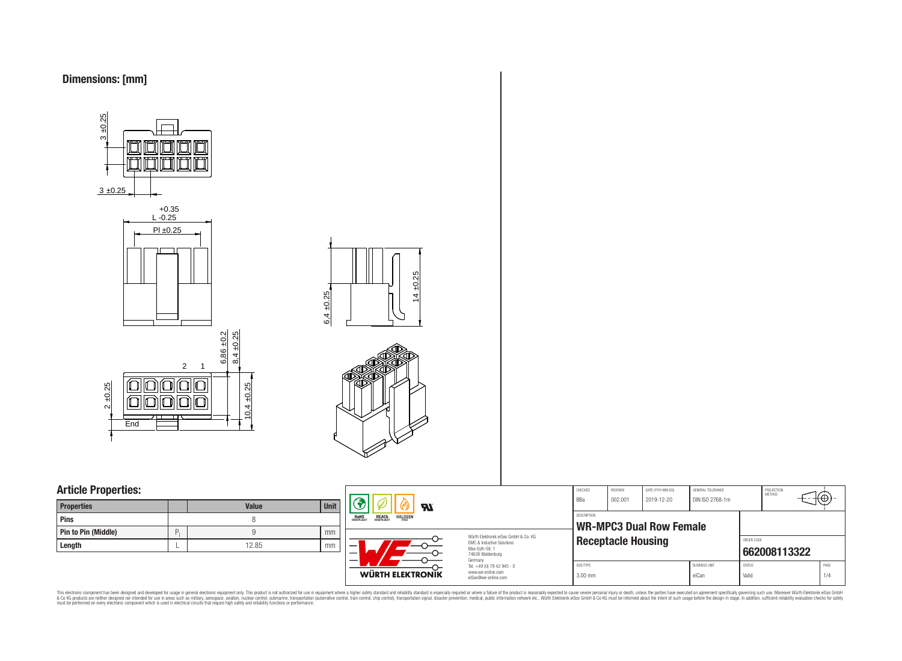

3 ±0.25 +0.35 L -0.25 Pl ±0.25 3 ±0.25



 $4 + 0.25$  $6,4 \pm 0.25$ 



## **Article Properties:**

| <b>Properties</b>   |   | <b>Value</b> | <b>Unit</b> |
|---------------------|---|--------------|-------------|
| <b>Pins</b>         |   |              |             |
| Pin to Pin (Middle) | D |              | mm          |
| Length              |   | 12.85        | mm          |



This electronic component has been designed and developed for usage in general electronic equipment only. This product is not authorized for subserved requipment where a higher selection equipment where a higher selection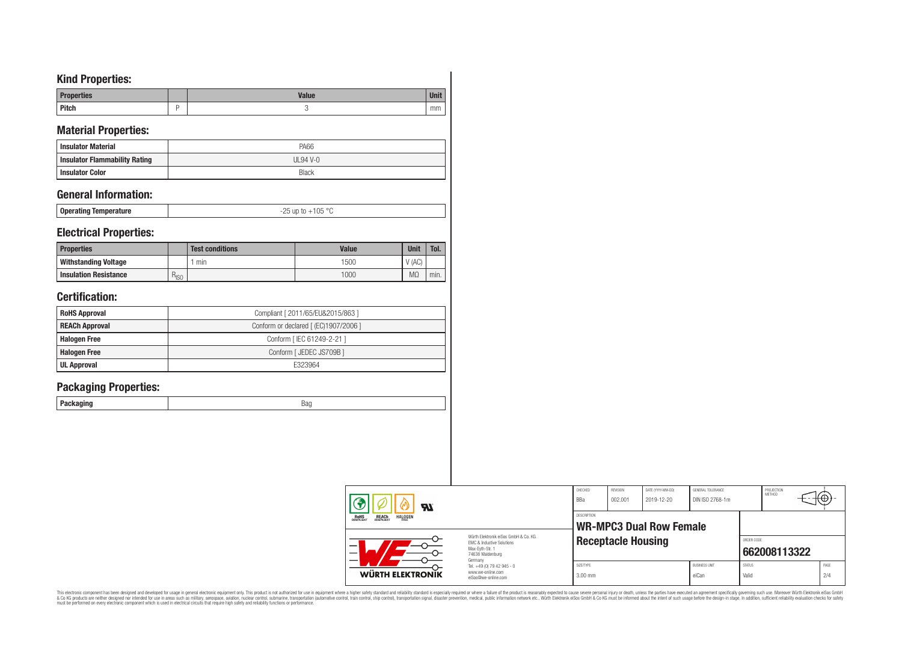# **Kind Properties:**

| Dunnow<br>perties | <b>Value</b> |    |
|-------------------|--------------|----|
| <b>Pitch</b>      |              | mm |

## **Material Properties:**

| <b>Insulator Material</b>     | PA66       |
|-------------------------------|------------|
| Insulator Flammability Rating | $UL94$ V-0 |
| <b>Insulator Color</b>        | Black      |

### **General Information:**

| <b>Operating Temperature</b> | l Ib |
|------------------------------|------|
|                              |      |

### **Electrical Properties:**

| <b>Properties</b>            |           | <b>Test conditions</b> | <b>Value</b> | <b>Unit</b>       | Tol. |
|------------------------------|-----------|------------------------|--------------|-------------------|------|
| Withstanding Voltage         |           | min                    | 1500         | $^{\prime}$ (AC). |      |
| <b>Insulation Resistance</b> | $R_{ISO}$ |                        | 1000         | $M\Omega$         | min. |

# **Certification:**

| <b>RoHS Approval</b>  | Compliant [ 2011/65/EU&2015/863 ]     |
|-----------------------|---------------------------------------|
| <b>REACh Approval</b> | Conform or declared [ (EC)1907/2006 ] |
| <b>Halogen Free</b>   | Conform   IEC 61249-2-21 ]            |
| <b>Halogen Free</b>   | Conform [ JEDEC JS709B ]              |
| <b>UL Approval</b>    | F323964                               |

# **Packaging Properties:**

| Packaging |  |
|-----------|--|

| $\boldsymbol{\mathcal{H}}$                                                                                                                                                   |                                                                                   | CHECKED<br>BBa                 | REVISION<br>002.001                                         | DATE (YYYY-MM-DD)<br>2019-12-20 | GENERAL TOLERANCE<br>DIN ISO 2768-1m |                        | PROJECTION<br><b>METHOD</b> | €Θ |             |
|------------------------------------------------------------------------------------------------------------------------------------------------------------------------------|-----------------------------------------------------------------------------------|--------------------------------|-------------------------------------------------------------|---------------------------------|--------------------------------------|------------------------|-----------------------------|----|-------------|
| <b>HALOGEN</b><br>ROHS<br>COMPLIANT<br><b>REACH</b><br>COMPLIANT<br>Würth Elektronik eiSos GmbH & Co. KG<br>FMC & Inductive Solutions<br>Max-Eyth-Str. 1<br>74638 Waldenburg |                                                                                   | DESCRIPTION                    | <b>WR-MPC3 Dual Row Female</b><br><b>Receptacle Housing</b> |                                 |                                      |                        | ORDER CODE<br>662008113322  |    |             |
| <b>WÜRTH ELEKTRONIK</b>                                                                                                                                                      | Germany<br>Tel. +49 (0) 79 42 945 - 0<br>www.we-online.com<br>eiSos@we-online.com | SIZE/TYPE<br>$3.00 \text{ mm}$ |                                                             |                                 | <b>BUSINESS UNIT</b><br>eiCan        | <b>STATUS</b><br>Valid |                             |    | PAGE<br>2/4 |

This electronic component has been designed and developed for usage in general electronic equipment only. This product is not authorized for subserved requipment where a higher selection equipment where a higher selection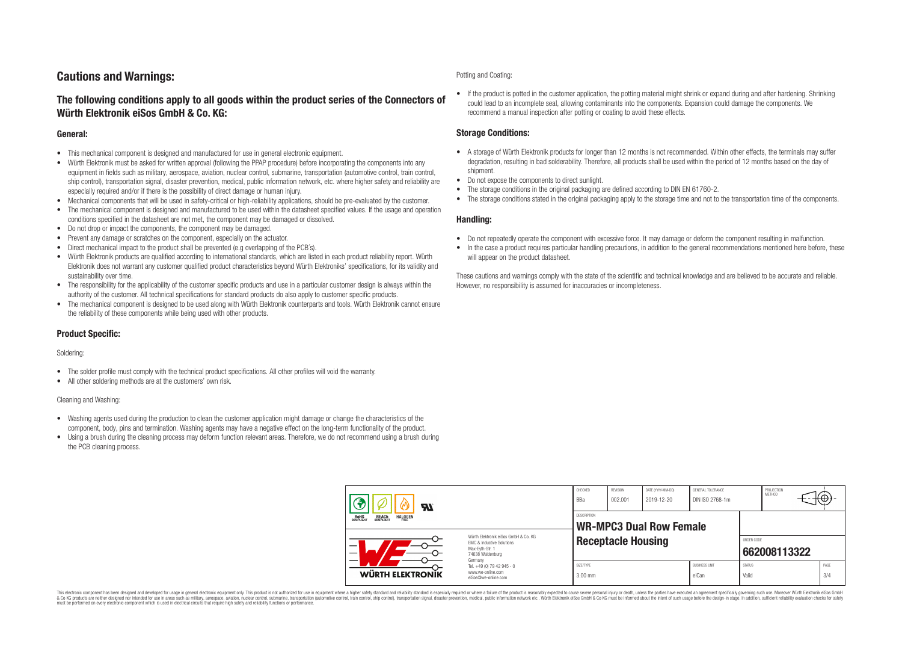# **Cautions and Warnings:**

### **The following conditions apply to all goods within the product series of the Connectors of Würth Elektronik eiSos GmbH & Co. KG:**

#### **General:**

- This mechanical component is designed and manufactured for use in general electronic equipment.
- Würth Elektronik must be asked for written approval (following the PPAP procedure) before incorporating the components into any equipment in fields such as military, aerospace, aviation, nuclear control, submarine, transportation (automotive control, train control, ship control), transportation signal, disaster prevention, medical, public information network, etc. where higher safety and reliability are especially required and/or if there is the possibility of direct damage or human injury.
- Mechanical components that will be used in safety-critical or high-reliability applications, should be pre-evaluated by the customer.
- The mechanical component is designed and manufactured to be used within the datasheet specified values. If the usage and operation conditions specified in the datasheet are not met, the component may be damaged or dissolved.
- Do not drop or impact the components, the component may be damaged.
- Prevent any damage or scratches on the component, especially on the actuator.
- Direct mechanical impact to the product shall be prevented (e.g overlapping of the PCB's).
- Würth Elektronik products are qualified according to international standards, which are listed in each product reliability report. Würth Elektronik does not warrant any customer qualified product characteristics beyond Würth Elektroniks' specifications, for its validity and sustainability over time.
- The responsibility for the applicability of the customer specific products and use in a particular customer design is always within the authority of the customer. All technical specifications for standard products do also apply to customer specific products.
- The mechanical component is designed to be used along with Würth Elektronik counterparts and tools. Würth Elektronik cannot ensure the reliability of these components while being used with other products.

#### **Product Specific:**

#### Soldering:

- The solder profile must comply with the technical product specifications. All other profiles will void the warranty.
- All other soldering methods are at the customers' own risk.

#### Cleaning and Washing:

- Washing agents used during the production to clean the customer application might damage or change the characteristics of the component, body, pins and termination. Washing agents may have a negative effect on the long-term functionality of the product.
- Using a brush during the cleaning process may deform function relevant areas. Therefore, we do not recommend using a brush during the PCB cleaning process.

#### Potting and Coating:

• If the product is potted in the customer application, the potting material might shrink or expand during and after hardening. Shrinking could lead to an incomplete seal, allowing contaminants into the components. Expansion could damage the components. We recommend a manual inspection after potting or coating to avoid these effects.

#### **Storage Conditions:**

- A storage of Würth Elektronik products for longer than 12 months is not recommended. Within other effects, the terminals may suffer degradation, resulting in bad solderability. Therefore, all products shall be used within the period of 12 months based on the day of shipment.
- Do not expose the components to direct sunlight.
- The storage conditions in the original packaging are defined according to DIN EN 61760-2.
- The storage conditions stated in the original packaging apply to the storage time and not to the transportation time of the components.

#### **Handling:**

- Do not repeatedly operate the component with excessive force. It may damage or deform the component resulting in malfunction.
- In the case a product requires particular handling precautions, in addition to the general recommendations mentioned here before, these will appear on the product datasheet.

These cautions and warnings comply with the state of the scientific and technical knowledge and are believed to be accurate and reliable. However, no responsibility is assumed for inaccuracies or incompleteness.

| Яľ                                                                                                       |                                                                                   | CHECKED<br>BBa         | REVISION<br>002.001       | DATE (YYYY-MM-DD)<br>2019-12-20 | GENERAL TOLERANCE<br>DIN ISO 2768-1m |                        | PROJECTION<br>METHOD |             |
|----------------------------------------------------------------------------------------------------------|-----------------------------------------------------------------------------------|------------------------|---------------------------|---------------------------------|--------------------------------------|------------------------|----------------------|-------------|
| <b>ROHS</b><br>COMPLIANT<br><b>REACH</b><br>COMPLIANT<br><b>HALOGEN</b>                                  |                                                                                   | DESCRIPTION            |                           | <b>WR-MPC3 Dual Row Female</b>  |                                      |                        |                      |             |
| Würth Flektronik eiSos GmbH & Co. KG<br>FMC & Inductive Solutions<br>Max-Evth-Str. 1<br>74638 Waldenburg |                                                                                   |                        | <b>Receptacle Housing</b> |                                 |                                      | ORDER CODE             | 662008113322         |             |
| WÜRTH ELEKTRONIK                                                                                         | Germany<br>Tel. +49 (0) 79 42 945 - 0<br>www.we-online.com<br>eiSos@we-online.com | SIZE/TYPE<br>$3.00$ mm |                           |                                 | <b>BUSINESS UNIT</b><br>eiCan        | <b>STATUS</b><br>Valid |                      | PAGE<br>3/4 |

This electronic component has been designed and developed for usage in general electronic equipment only. This product is not authorized for use in equipment where a higher safety standard and reliability standard si espec & Ook product a label and the membed of the seasuch as marked and as which such a membed and the such assume that income in the seasuch and the simulation and the such assume that include to the such a membed and the such